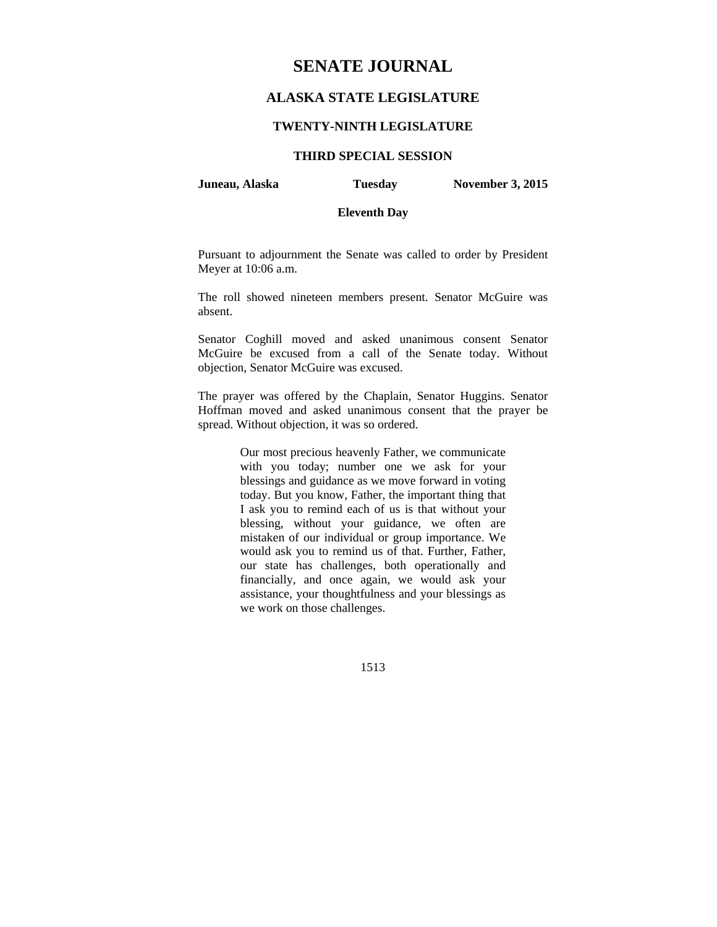# **SENATE JOURNAL**

# **ALASKA STATE LEGISLATURE**

# **TWENTY-NINTH LEGISLATURE**

# **THIRD SPECIAL SESSION**

**Juneau, Alaska Tuesday November 3, 2015** 

# **Eleventh Day**

Pursuant to adjournment the Senate was called to order by President Meyer at 10:06 a.m.

The roll showed nineteen members present. Senator McGuire was absent.

Senator Coghill moved and asked unanimous consent Senator McGuire be excused from a call of the Senate today. Without objection, Senator McGuire was excused.

The prayer was offered by the Chaplain, Senator Huggins. Senator Hoffman moved and asked unanimous consent that the prayer be spread. Without objection, it was so ordered.

> Our most precious heavenly Father, we communicate with you today; number one we ask for your blessings and guidance as we move forward in voting today. But you know, Father, the important thing that I ask you to remind each of us is that without your blessing, without your guidance, we often are mistaken of our individual or group importance. We would ask you to remind us of that. Further, Father, our state has challenges, both operationally and financially, and once again, we would ask your assistance, your thoughtfulness and your blessings as we work on those challenges.

> > 1513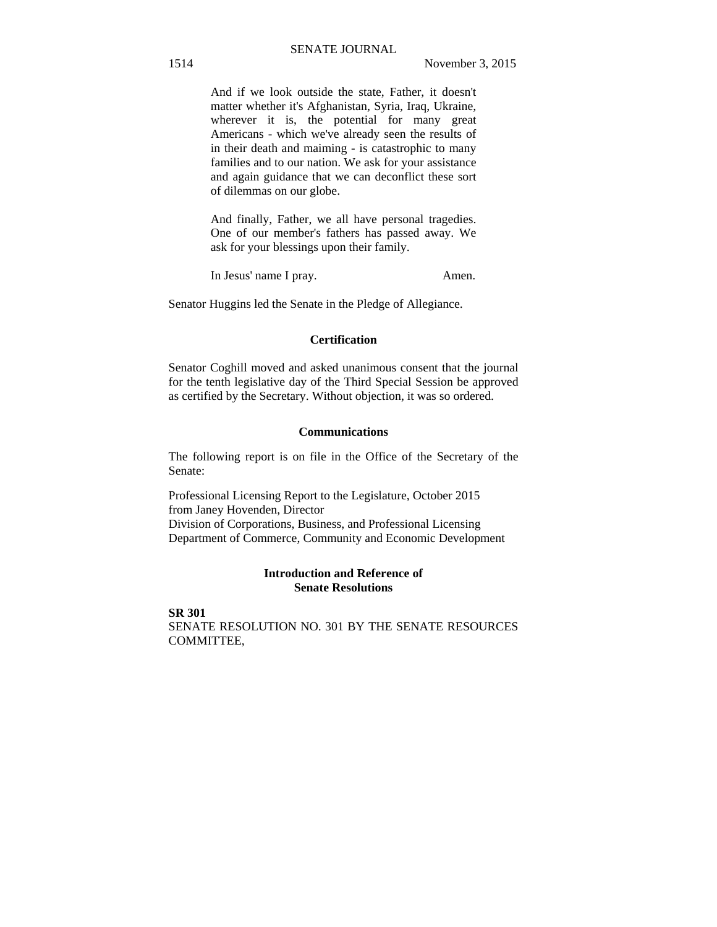# SENATE JOURNAL

And if we look outside the state, Father, it doesn't matter whether it's Afghanistan, Syria, Iraq, Ukraine, wherever it is, the potential for many great Americans - which we've already seen the results of in their death and maiming - is catastrophic to many families and to our nation. We ask for your assistance and again guidance that we can deconflict these sort of dilemmas on our globe.

And finally, Father, we all have personal tragedies. One of our member's fathers has passed away. We ask for your blessings upon their family.

In Jesus' name I pray. Amen.

Senator Huggins led the Senate in the Pledge of Allegiance.

#### **Certification**

Senator Coghill moved and asked unanimous consent that the journal for the tenth legislative day of the Third Special Session be approved as certified by the Secretary. Without objection, it was so ordered.

# **Communications**

The following report is on file in the Office of the Secretary of the Senate:

Professional Licensing Report to the Legislature, October 2015 from Janey Hovenden, Director Division of Corporations, Business, and Professional Licensing Department of Commerce, Community and Economic Development

# **Introduction and Reference of Senate Resolutions**

**SR 301** SENATE RESOLUTION NO. 301 BY THE SENATE RESOURCES COMMITTEE,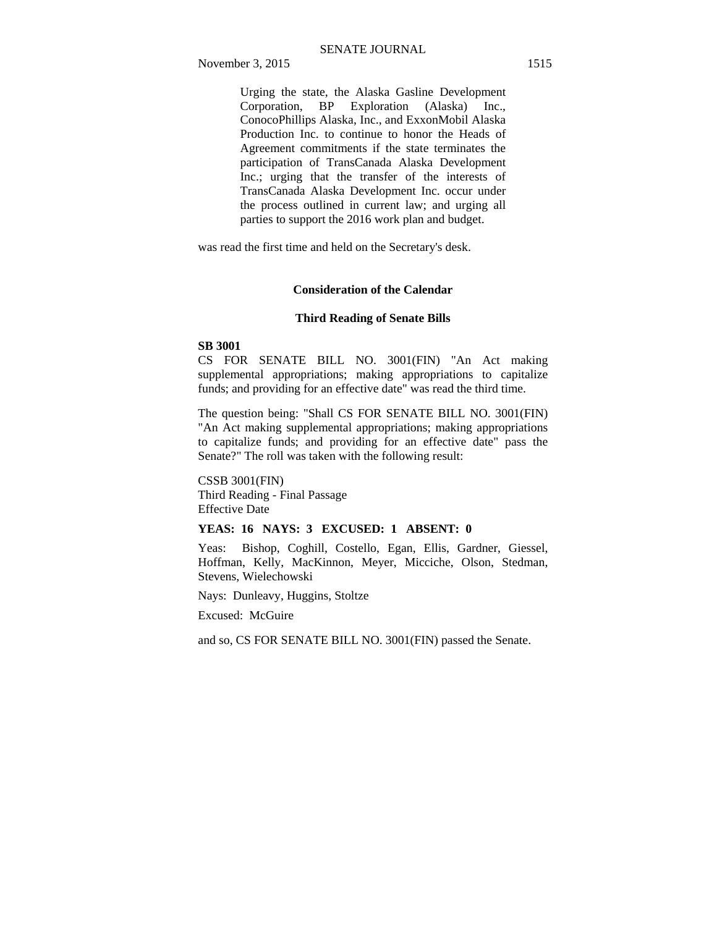Urging the state, the Alaska Gasline Development Corporation, BP Exploration (Alaska) Inc., ConocoPhillips Alaska, Inc., and ExxonMobil Alaska Production Inc. to continue to honor the Heads of Agreement commitments if the state terminates the participation of TransCanada Alaska Development Inc.; urging that the transfer of the interests of TransCanada Alaska Development Inc. occur under the process outlined in current law; and urging all parties to support the 2016 work plan and budget.

was read the first time and held on the Secretary's desk.

# **Consideration of the Calendar**

#### **Third Reading of Senate Bills**

#### **SB 3001**

CS FOR SENATE BILL NO. 3001(FIN) "An Act making supplemental appropriations; making appropriations to capitalize funds; and providing for an effective date" was read the third time.

The question being: "Shall CS FOR SENATE BILL NO. 3001(FIN) "An Act making supplemental appropriations; making appropriations to capitalize funds; and providing for an effective date" pass the Senate?" The roll was taken with the following result:

CSSB 3001(FIN) Third Reading - Final Passage Effective Date

# **YEAS: 16 NAYS: 3 EXCUSED: 1 ABSENT: 0**

Yeas: Bishop, Coghill, Costello, Egan, Ellis, Gardner, Giessel, Hoffman, Kelly, MacKinnon, Meyer, Micciche, Olson, Stedman, Stevens, Wielechowski

Nays: Dunleavy, Huggins, Stoltze

Excused: McGuire

and so, CS FOR SENATE BILL NO. 3001(FIN) passed the Senate.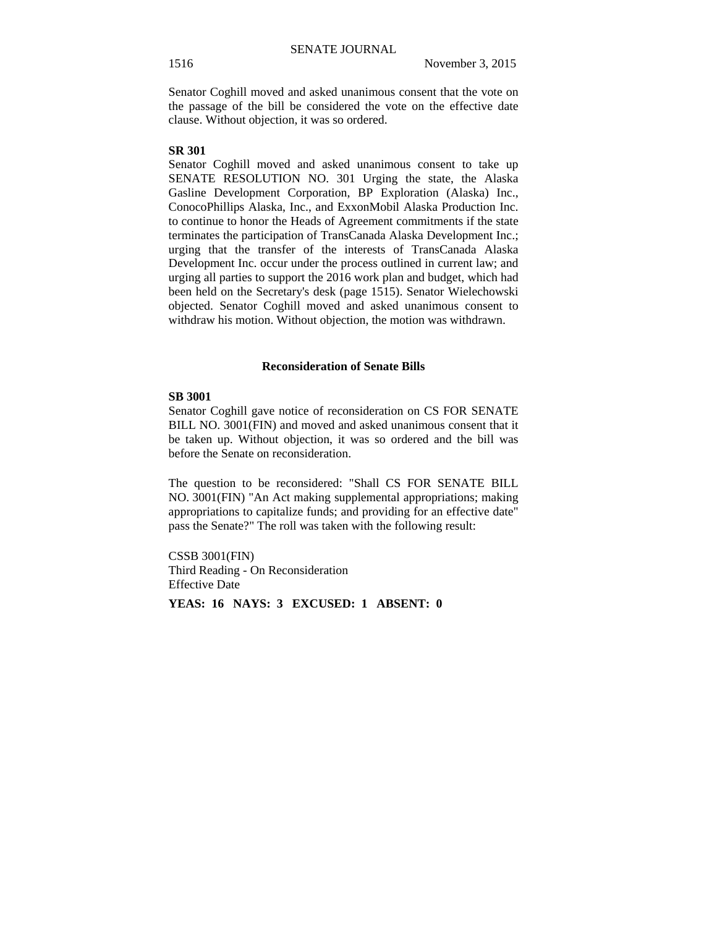Senator Coghill moved and asked unanimous consent that the vote on the passage of the bill be considered the vote on the effective date clause. Without objection, it was so ordered.

#### **SR 301**

Senator Coghill moved and asked unanimous consent to take up SENATE RESOLUTION NO. 301 Urging the state, the Alaska Gasline Development Corporation, BP Exploration (Alaska) Inc., ConocoPhillips Alaska, Inc., and ExxonMobil Alaska Production Inc. to continue to honor the Heads of Agreement commitments if the state terminates the participation of TransCanada Alaska Development Inc.; urging that the transfer of the interests of TransCanada Alaska Development Inc. occur under the process outlined in current law; and urging all parties to support the 2016 work plan and budget, which had been held on the Secretary's desk (page 1515). Senator Wielechowski objected. Senator Coghill moved and asked unanimous consent to withdraw his motion. Without objection, the motion was withdrawn.

# **Reconsideration of Senate Bills**

#### **SB 3001**

Senator Coghill gave notice of reconsideration on CS FOR SENATE BILL NO. 3001(FIN) and moved and asked unanimous consent that it be taken up. Without objection, it was so ordered and the bill was before the Senate on reconsideration.

The question to be reconsidered: "Shall CS FOR SENATE BILL NO. 3001(FIN) "An Act making supplemental appropriations; making appropriations to capitalize funds; and providing for an effective date" pass the Senate?" The roll was taken with the following result:

CSSB 3001(FIN) Third Reading - On Reconsideration Effective Date

**YEAS: 16 NAYS: 3 EXCUSED: 1 ABSENT: 0**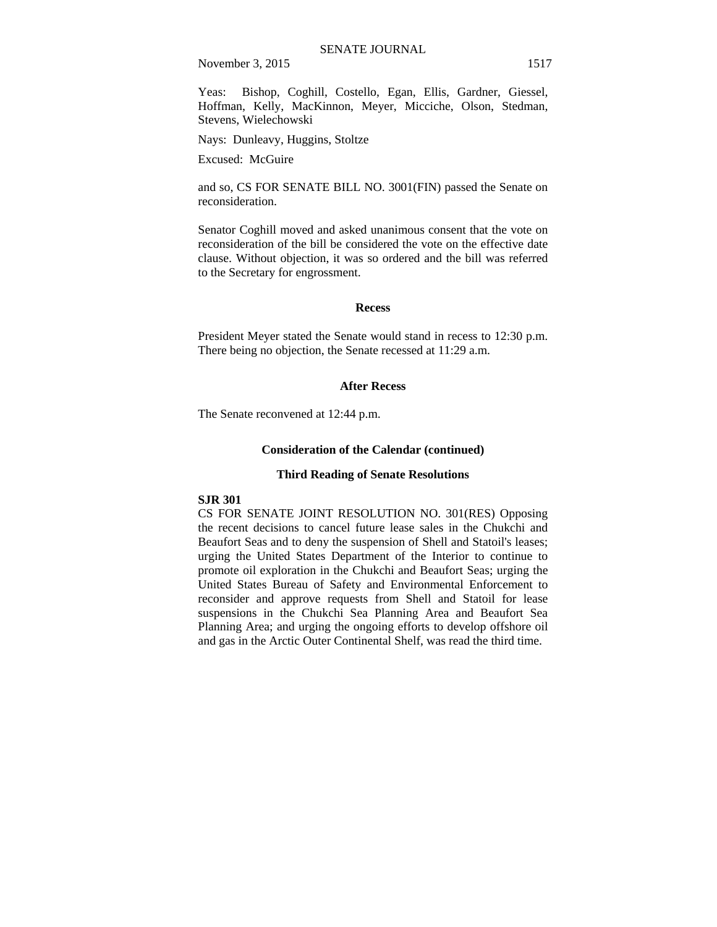Yeas: Bishop, Coghill, Costello, Egan, Ellis, Gardner, Giessel, Hoffman, Kelly, MacKinnon, Meyer, Micciche, Olson, Stedman, Stevens, Wielechowski

Nays: Dunleavy, Huggins, Stoltze

Excused: McGuire

and so, CS FOR SENATE BILL NO. 3001(FIN) passed the Senate on reconsideration.

Senator Coghill moved and asked unanimous consent that the vote on reconsideration of the bill be considered the vote on the effective date clause. Without objection, it was so ordered and the bill was referred to the Secretary for engrossment.

#### **Recess**

President Meyer stated the Senate would stand in recess to 12:30 p.m. There being no objection, the Senate recessed at 11:29 a.m.

### **After Recess**

The Senate reconvened at 12:44 p.m.

# **Consideration of the Calendar (continued)**

#### **Third Reading of Senate Resolutions**

#### **SJR 301**

CS FOR SENATE JOINT RESOLUTION NO. 301(RES) Opposing the recent decisions to cancel future lease sales in the Chukchi and Beaufort Seas and to deny the suspension of Shell and Statoil's leases; urging the United States Department of the Interior to continue to promote oil exploration in the Chukchi and Beaufort Seas; urging the United States Bureau of Safety and Environmental Enforcement to reconsider and approve requests from Shell and Statoil for lease suspensions in the Chukchi Sea Planning Area and Beaufort Sea Planning Area; and urging the ongoing efforts to develop offshore oil and gas in the Arctic Outer Continental Shelf, was read the third time.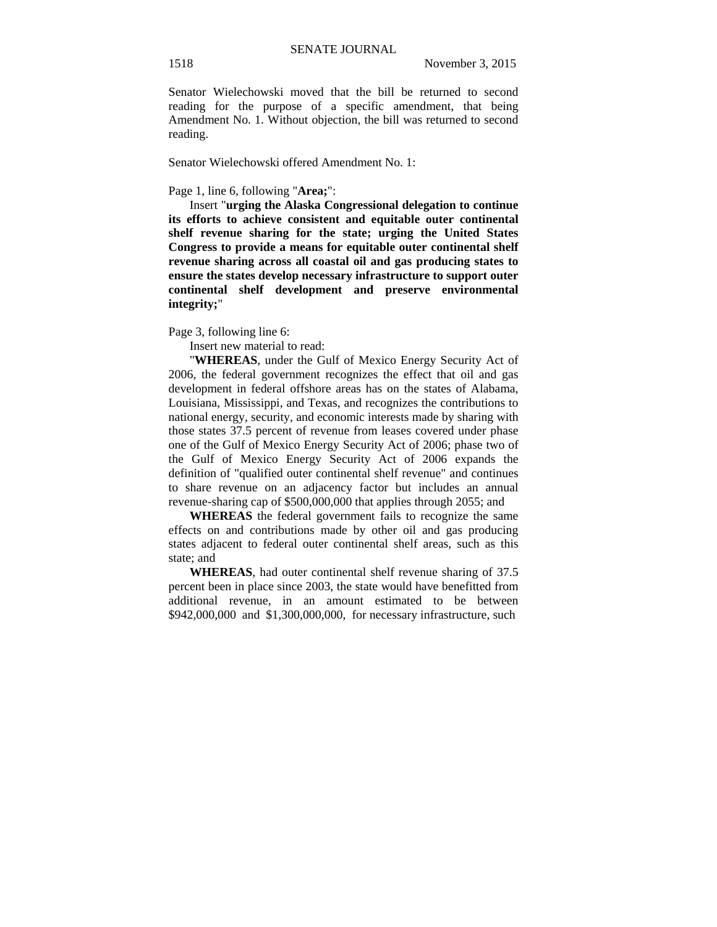Senator Wielechowski moved that the bill be returned to second reading for the purpose of a specific amendment, that being Amendment No. 1. Without objection, the bill was returned to second reading.

Senator Wielechowski offered Amendment No. 1:

Page 1, line 6, following "**Area;**":

Insert "**urging the Alaska Congressional delegation to continue its efforts to achieve consistent and equitable outer continental shelf revenue sharing for the state; urging the United States Congress to provide a means for equitable outer continental shelf revenue sharing across all coastal oil and gas producing states to ensure the states develop necessary infrastructure to support outer continental shelf development and preserve environmental integrity;**"

Page 3, following line 6:

Insert new material to read:

"**WHEREAS**, under the Gulf of Mexico Energy Security Act of 2006, the federal government recognizes the effect that oil and gas development in federal offshore areas has on the states of Alabama, Louisiana, Mississippi, and Texas, and recognizes the contributions to national energy, security, and economic interests made by sharing with those states 37.5 percent of revenue from leases covered under phase one of the Gulf of Mexico Energy Security Act of 2006; phase two of the Gulf of Mexico Energy Security Act of 2006 expands the definition of "qualified outer continental shelf revenue" and continues to share revenue on an adjacency factor but includes an annual revenue-sharing cap of \$500,000,000 that applies through 2055; and

**WHEREAS** the federal government fails to recognize the same effects on and contributions made by other oil and gas producing states adjacent to federal outer continental shelf areas, such as this state; and

**WHEREAS**, had outer continental shelf revenue sharing of 37.5 percent been in place since 2003, the state would have benefitted from additional revenue, in an amount estimated to be between \$942,000,000 and \$1,300,000,000, for necessary infrastructure, such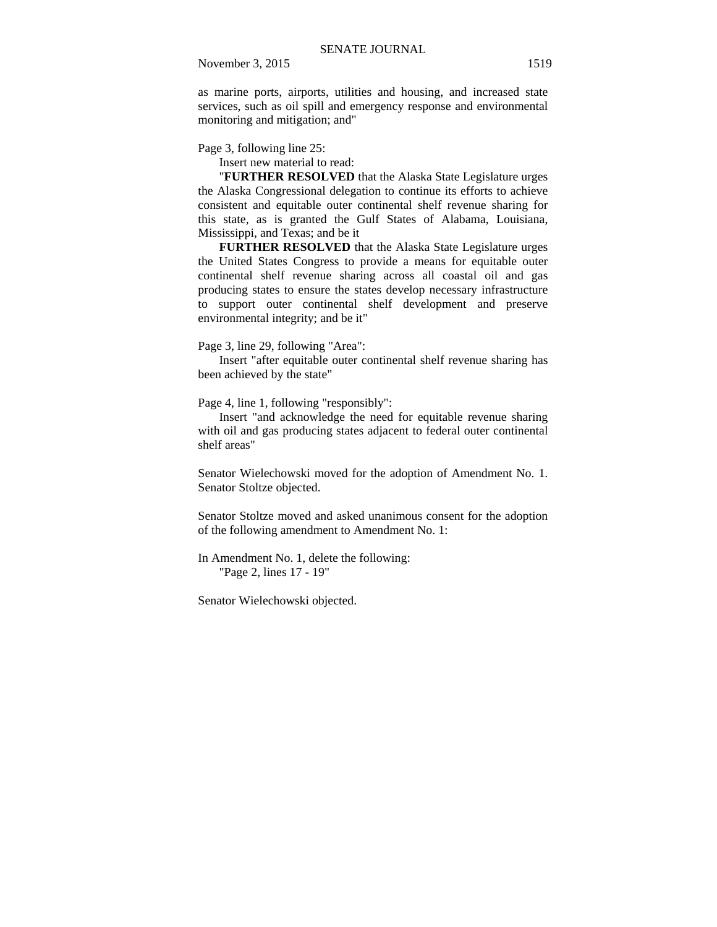as marine ports, airports, utilities and housing, and increased state services, such as oil spill and emergency response and environmental monitoring and mitigation; and"

Page 3, following line 25:

Insert new material to read:

"**FURTHER RESOLVED** that the Alaska State Legislature urges the Alaska Congressional delegation to continue its efforts to achieve consistent and equitable outer continental shelf revenue sharing for this state, as is granted the Gulf States of Alabama, Louisiana, Mississippi, and Texas; and be it

**FURTHER RESOLVED** that the Alaska State Legislature urges the United States Congress to provide a means for equitable outer continental shelf revenue sharing across all coastal oil and gas producing states to ensure the states develop necessary infrastructure to support outer continental shelf development and preserve environmental integrity; and be it"

Page 3, line 29, following "Area":

Insert "after equitable outer continental shelf revenue sharing has been achieved by the state"

Page 4, line 1, following "responsibly":

Insert "and acknowledge the need for equitable revenue sharing with oil and gas producing states adjacent to federal outer continental shelf areas"

Senator Wielechowski moved for the adoption of Amendment No. 1. Senator Stoltze objected.

Senator Stoltze moved and asked unanimous consent for the adoption of the following amendment to Amendment No. 1:

In Amendment No. 1, delete the following: "Page 2, lines 17 - 19"

Senator Wielechowski objected.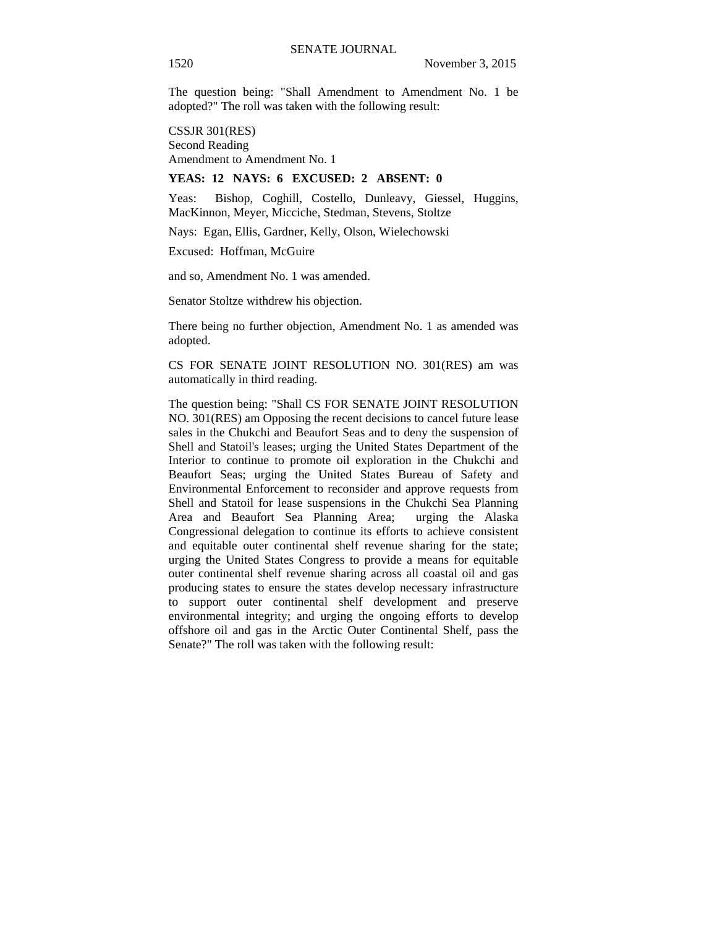The question being: "Shall Amendment to Amendment No. 1 be adopted?" The roll was taken with the following result:

CSSJR 301(RES) Second Reading Amendment to Amendment No. 1

## **YEAS: 12 NAYS: 6 EXCUSED: 2 ABSENT: 0**

Yeas: Bishop, Coghill, Costello, Dunleavy, Giessel, Huggins, MacKinnon, Meyer, Micciche, Stedman, Stevens, Stoltze

Nays: Egan, Ellis, Gardner, Kelly, Olson, Wielechowski

Excused: Hoffman, McGuire

and so, Amendment No. 1 was amended.

Senator Stoltze withdrew his objection.

There being no further objection, Amendment No. 1 as amended was adopted.

CS FOR SENATE JOINT RESOLUTION NO. 301(RES) am was automatically in third reading.

The question being: "Shall CS FOR SENATE JOINT RESOLUTION NO. 301(RES) am Opposing the recent decisions to cancel future lease sales in the Chukchi and Beaufort Seas and to deny the suspension of Shell and Statoil's leases; urging the United States Department of the Interior to continue to promote oil exploration in the Chukchi and Beaufort Seas; urging the United States Bureau of Safety and Environmental Enforcement to reconsider and approve requests from Shell and Statoil for lease suspensions in the Chukchi Sea Planning Area and Beaufort Sea Planning Area; urging the Alaska Congressional delegation to continue its efforts to achieve consistent and equitable outer continental shelf revenue sharing for the state; urging the United States Congress to provide a means for equitable outer continental shelf revenue sharing across all coastal oil and gas producing states to ensure the states develop necessary infrastructure to support outer continental shelf development and preserve environmental integrity; and urging the ongoing efforts to develop offshore oil and gas in the Arctic Outer Continental Shelf, pass the Senate?" The roll was taken with the following result: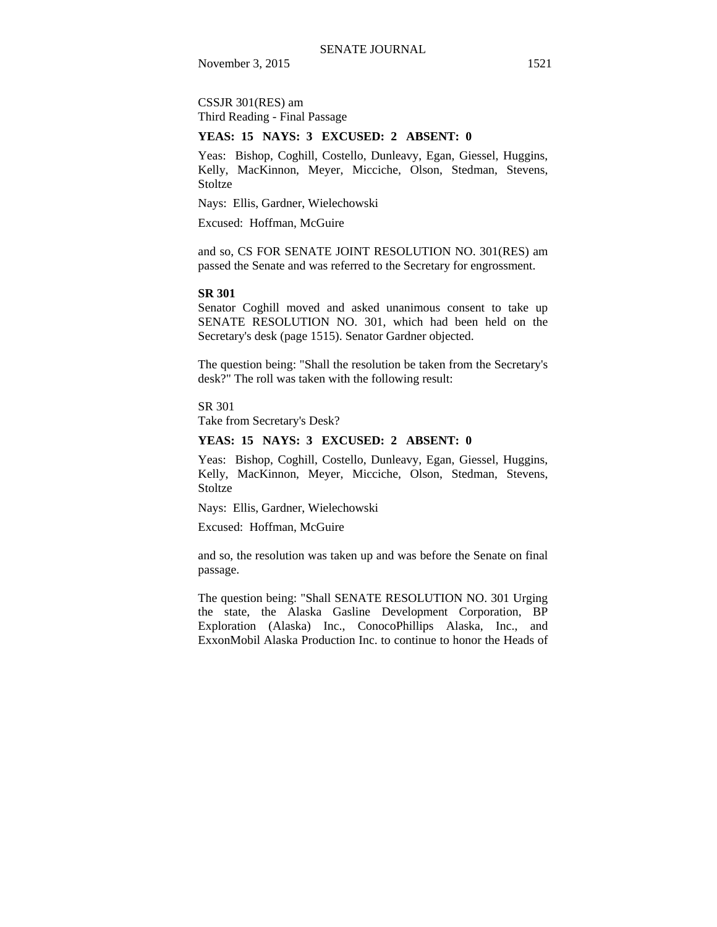CSSJR 301(RES) am Third Reading - Final Passage

#### **YEAS: 15 NAYS: 3 EXCUSED: 2 ABSENT: 0**

Yeas: Bishop, Coghill, Costello, Dunleavy, Egan, Giessel, Huggins, Kelly, MacKinnon, Meyer, Micciche, Olson, Stedman, Stevens, **Stoltze** 

Nays: Ellis, Gardner, Wielechowski

Excused: Hoffman, McGuire

and so, CS FOR SENATE JOINT RESOLUTION NO. 301(RES) am passed the Senate and was referred to the Secretary for engrossment.

#### **SR 301**

Senator Coghill moved and asked unanimous consent to take up SENATE RESOLUTION NO. 301, which had been held on the Secretary's desk (page 1515). Senator Gardner objected.

The question being: "Shall the resolution be taken from the Secretary's desk?" The roll was taken with the following result:

SR 301

Take from Secretary's Desk?

# **YEAS: 15 NAYS: 3 EXCUSED: 2 ABSENT: 0**

Yeas: Bishop, Coghill, Costello, Dunleavy, Egan, Giessel, Huggins, Kelly, MacKinnon, Meyer, Micciche, Olson, Stedman, Stevens, **Stoltze** 

Nays: Ellis, Gardner, Wielechowski

Excused: Hoffman, McGuire

and so, the resolution was taken up and was before the Senate on final passage.

The question being: "Shall SENATE RESOLUTION NO. 301 Urging the state, the Alaska Gasline Development Corporation, BP Exploration (Alaska) Inc., ConocoPhillips Alaska, Inc., and ExxonMobil Alaska Production Inc. to continue to honor the Heads of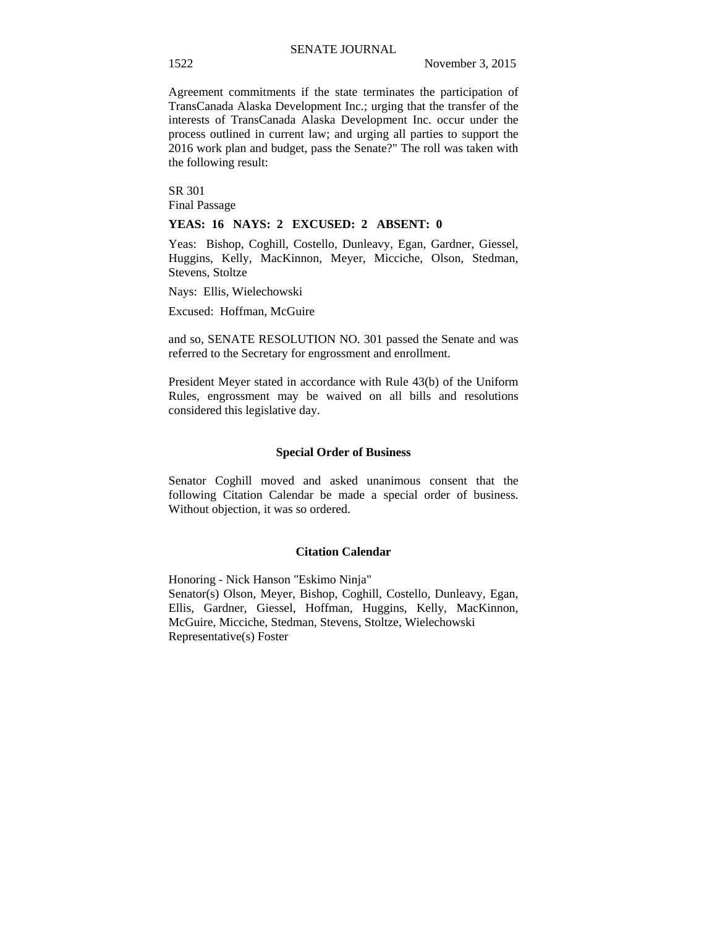Agreement commitments if the state terminates the participation of TransCanada Alaska Development Inc.; urging that the transfer of the interests of TransCanada Alaska Development Inc. occur under the process outlined in current law; and urging all parties to support the 2016 work plan and budget, pass the Senate?" The roll was taken with the following result:

SR 301 Final Passage

#### **YEAS: 16 NAYS: 2 EXCUSED: 2 ABSENT: 0**

Yeas: Bishop, Coghill, Costello, Dunleavy, Egan, Gardner, Giessel, Huggins, Kelly, MacKinnon, Meyer, Micciche, Olson, Stedman, Stevens, Stoltze

Nays: Ellis, Wielechowski

Excused: Hoffman, McGuire

and so, SENATE RESOLUTION NO. 301 passed the Senate and was referred to the Secretary for engrossment and enrollment.

President Meyer stated in accordance with Rule 43(b) of the Uniform Rules, engrossment may be waived on all bills and resolutions considered this legislative day.

#### **Special Order of Business**

Senator Coghill moved and asked unanimous consent that the following Citation Calendar be made a special order of business. Without objection, it was so ordered.

## **Citation Calendar**

Honoring - Nick Hanson "Eskimo Ninja" Senator(s) Olson, Meyer, Bishop, Coghill, Costello, Dunleavy, Egan, Ellis, Gardner, Giessel, Hoffman, Huggins, Kelly, MacKinnon, McGuire, Micciche, Stedman, Stevens, Stoltze, Wielechowski Representative(s) Foster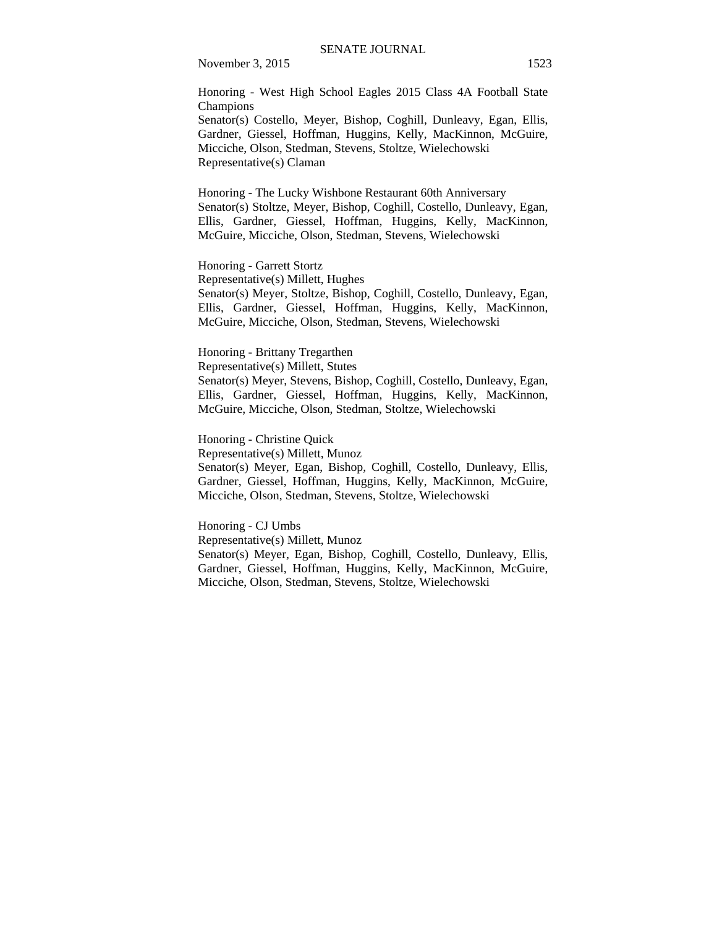Honoring - West High School Eagles 2015 Class 4A Football State Champions

Senator(s) Costello, Meyer, Bishop, Coghill, Dunleavy, Egan, Ellis, Gardner, Giessel, Hoffman, Huggins, Kelly, MacKinnon, McGuire, Micciche, Olson, Stedman, Stevens, Stoltze, Wielechowski Representative(s) Claman

Honoring - The Lucky Wishbone Restaurant 60th Anniversary Senator(s) Stoltze, Meyer, Bishop, Coghill, Costello, Dunleavy, Egan, Ellis, Gardner, Giessel, Hoffman, Huggins, Kelly, MacKinnon, McGuire, Micciche, Olson, Stedman, Stevens, Wielechowski

Honoring - Garrett Stortz Representative(s) Millett, Hughes Senator(s) Meyer, Stoltze, Bishop, Coghill, Costello, Dunleavy, Egan, Ellis, Gardner, Giessel, Hoffman, Huggins, Kelly, MacKinnon, McGuire, Micciche, Olson, Stedman, Stevens, Wielechowski

Honoring - Brittany Tregarthen Representative(s) Millett, Stutes Senator(s) Meyer, Stevens, Bishop, Coghill, Costello, Dunleavy, Egan, Ellis, Gardner, Giessel, Hoffman, Huggins, Kelly, MacKinnon, McGuire, Micciche, Olson, Stedman, Stoltze, Wielechowski

Honoring - Christine Quick Representative(s) Millett, Munoz Senator(s) Meyer, Egan, Bishop, Coghill, Costello, Dunleavy, Ellis, Gardner, Giessel, Hoffman, Huggins, Kelly, MacKinnon, McGuire, Micciche, Olson, Stedman, Stevens, Stoltze, Wielechowski

Honoring - CJ Umbs Representative(s) Millett, Munoz Senator(s) Meyer, Egan, Bishop, Coghill, Costello, Dunleavy, Ellis, Gardner, Giessel, Hoffman, Huggins, Kelly, MacKinnon, McGuire, Micciche, Olson, Stedman, Stevens, Stoltze, Wielechowski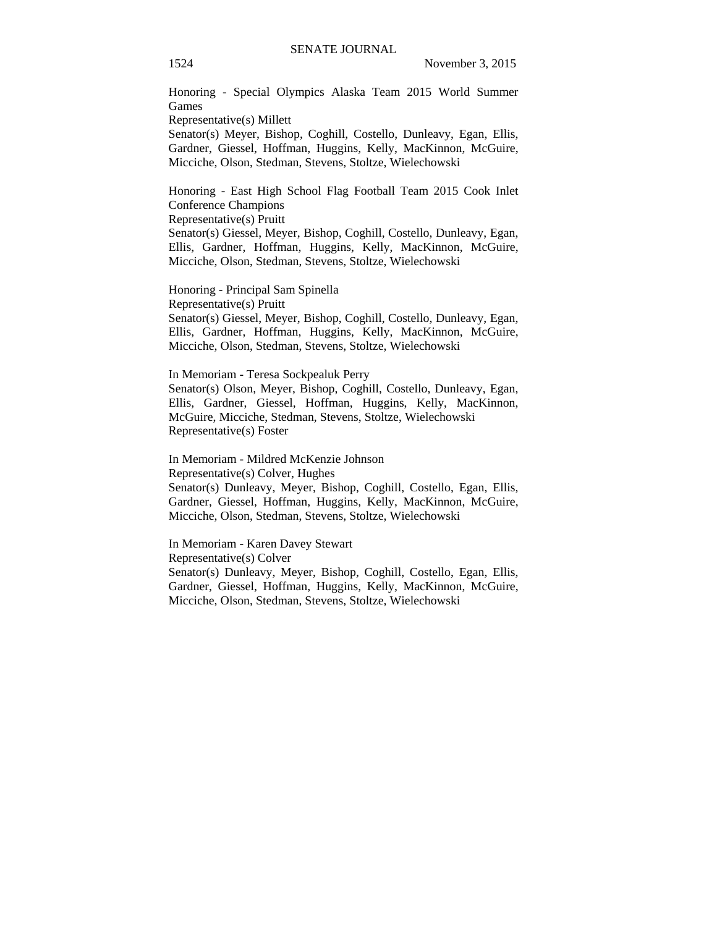Honoring - Special Olympics Alaska Team 2015 World Summer Games

Representative(s) Millett

Senator(s) Meyer, Bishop, Coghill, Costello, Dunleavy, Egan, Ellis, Gardner, Giessel, Hoffman, Huggins, Kelly, MacKinnon, McGuire, Micciche, Olson, Stedman, Stevens, Stoltze, Wielechowski

Honoring - East High School Flag Football Team 2015 Cook Inlet Conference Champions

Representative(s) Pruitt

Senator(s) Giessel, Meyer, Bishop, Coghill, Costello, Dunleavy, Egan, Ellis, Gardner, Hoffman, Huggins, Kelly, MacKinnon, McGuire, Micciche, Olson, Stedman, Stevens, Stoltze, Wielechowski

Honoring - Principal Sam Spinella Representative(s) Pruitt Senator(s) Giessel, Meyer, Bishop, Coghill, Costello, Dunleavy, Egan, Ellis, Gardner, Hoffman, Huggins, Kelly, MacKinnon, McGuire, Micciche, Olson, Stedman, Stevens, Stoltze, Wielechowski

In Memoriam - Teresa Sockpealuk Perry Senator(s) Olson, Meyer, Bishop, Coghill, Costello, Dunleavy, Egan, Ellis, Gardner, Giessel, Hoffman, Huggins, Kelly, MacKinnon, McGuire, Micciche, Stedman, Stevens, Stoltze, Wielechowski Representative(s) Foster

In Memoriam - Mildred McKenzie Johnson Representative(s) Colver, Hughes Senator(s) Dunleavy, Meyer, Bishop, Coghill, Costello, Egan, Ellis, Gardner, Giessel, Hoffman, Huggins, Kelly, MacKinnon, McGuire, Micciche, Olson, Stedman, Stevens, Stoltze, Wielechowski

In Memoriam - Karen Davey Stewart Representative(s) Colver Senator(s) Dunleavy, Meyer, Bishop, Coghill, Costello, Egan, Ellis, Gardner, Giessel, Hoffman, Huggins, Kelly, MacKinnon, McGuire, Micciche, Olson, Stedman, Stevens, Stoltze, Wielechowski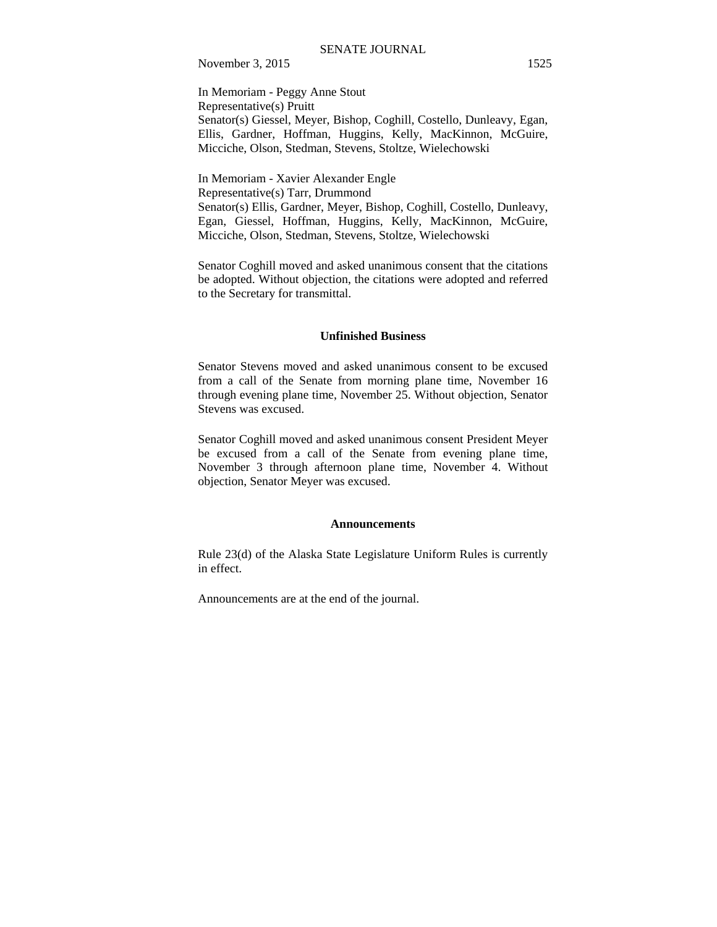In Memoriam - Peggy Anne Stout Representative(s) Pruitt Senator(s) Giessel, Meyer, Bishop, Coghill, Costello, Dunleavy, Egan, Ellis, Gardner, Hoffman, Huggins, Kelly, MacKinnon, McGuire, Micciche, Olson, Stedman, Stevens, Stoltze, Wielechowski

In Memoriam - Xavier Alexander Engle Representative(s) Tarr, Drummond Senator(s) Ellis, Gardner, Meyer, Bishop, Coghill, Costello, Dunleavy, Egan, Giessel, Hoffman, Huggins, Kelly, MacKinnon, McGuire, Micciche, Olson, Stedman, Stevens, Stoltze, Wielechowski

Senator Coghill moved and asked unanimous consent that the citations be adopted. Without objection, the citations were adopted and referred to the Secretary for transmittal.

#### **Unfinished Business**

Senator Stevens moved and asked unanimous consent to be excused from a call of the Senate from morning plane time, November 16 through evening plane time, November 25. Without objection, Senator Stevens was excused.

Senator Coghill moved and asked unanimous consent President Meyer be excused from a call of the Senate from evening plane time, November 3 through afternoon plane time, November 4. Without objection, Senator Meyer was excused.

#### **Announcements**

Rule 23(d) of the Alaska State Legislature Uniform Rules is currently in effect.

Announcements are at the end of the journal.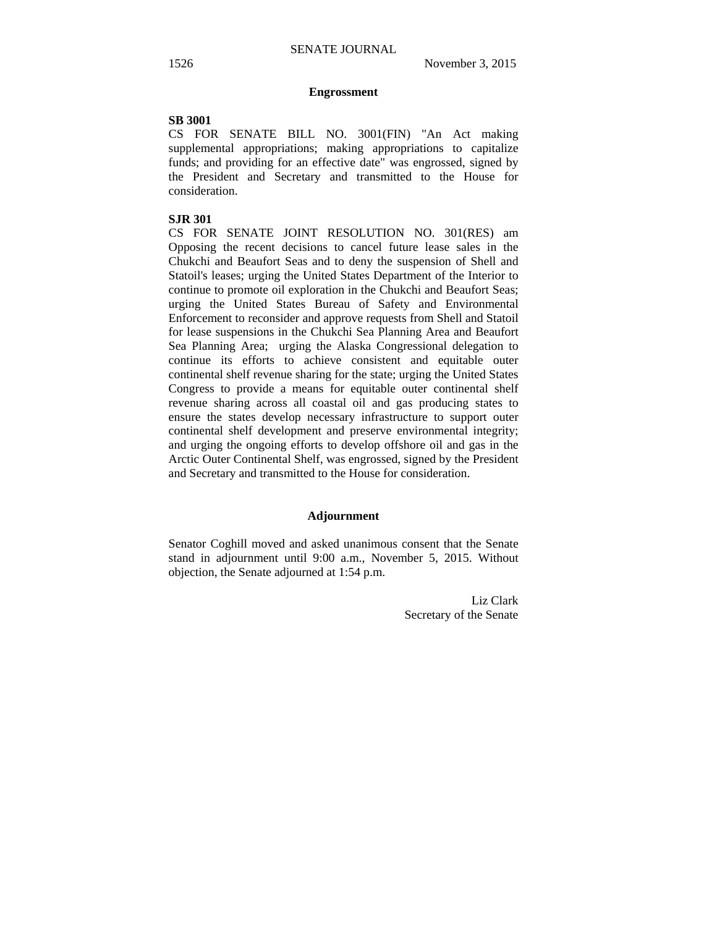#### **Engrossment**

#### **SB 3001**

CS FOR SENATE BILL NO. 3001(FIN) "An Act making supplemental appropriations; making appropriations to capitalize funds; and providing for an effective date" was engrossed, signed by the President and Secretary and transmitted to the House for consideration.

# **SJR 301**

CS FOR SENATE JOINT RESOLUTION NO. 301(RES) am Opposing the recent decisions to cancel future lease sales in the Chukchi and Beaufort Seas and to deny the suspension of Shell and Statoil's leases; urging the United States Department of the Interior to continue to promote oil exploration in the Chukchi and Beaufort Seas; urging the United States Bureau of Safety and Environmental Enforcement to reconsider and approve requests from Shell and Statoil for lease suspensions in the Chukchi Sea Planning Area and Beaufort Sea Planning Area; urging the Alaska Congressional delegation to continue its efforts to achieve consistent and equitable outer continental shelf revenue sharing for the state; urging the United States Congress to provide a means for equitable outer continental shelf revenue sharing across all coastal oil and gas producing states to ensure the states develop necessary infrastructure to support outer continental shelf development and preserve environmental integrity; and urging the ongoing efforts to develop offshore oil and gas in the Arctic Outer Continental Shelf, was engrossed, signed by the President and Secretary and transmitted to the House for consideration.

# **Adjournment**

Senator Coghill moved and asked unanimous consent that the Senate stand in adjournment until 9:00 a.m., November 5, 2015. Without objection, the Senate adjourned at 1:54 p.m.

> Liz Clark Secretary of the Senate